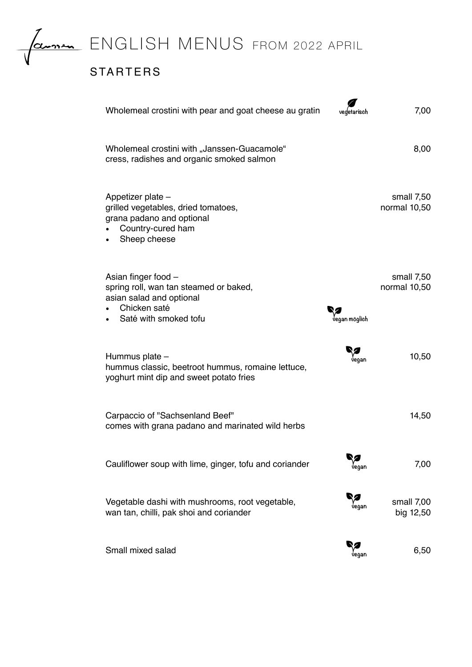

FROM 2022 APRIL

## STARTERS

| Wholemeal crostini with pear and goat cheese au gratin                                                                             | vedetarisch        | 7,00                       |
|------------------------------------------------------------------------------------------------------------------------------------|--------------------|----------------------------|
| Wholemeal crostini with "Janssen-Guacamole"<br>cress, radishes and organic smoked salmon                                           |                    | 8,00                       |
| Appetizer plate -<br>grilled vegetables, dried tomatoes,<br>grana padano and optional<br>Country-cured ham<br>Sheep cheese         |                    | small 7,50<br>normal 10,50 |
| Asian finger food -<br>spring roll, wan tan steamed or baked,<br>asian salad and optional<br>Chicken saté<br>Saté with smoked tofu | ,<br>Jegan möglich | small 7,50<br>normal 10,50 |
| Hummus plate -<br>hummus classic, beetroot hummus, romaine lettuce,<br>yoghurt mint dip and sweet potato fries                     | regan              | 10,50                      |
| Carpaccio of "Sachsenland Beef"<br>comes with grana padano and marinated wild herbs                                                |                    | 14,50                      |
| Cauliflower soup with lime, ginger, tofu and coriander                                                                             | 92<br>vegan        | 7,00                       |
| Vegetable dashi with mushrooms, root vegetable,<br>wan tan, chilli, pak shoi and coriander                                         | vegan              | small 7,00<br>big 12,50    |
| Small mixed salad                                                                                                                  | y<br>Vegan         | 6,50                       |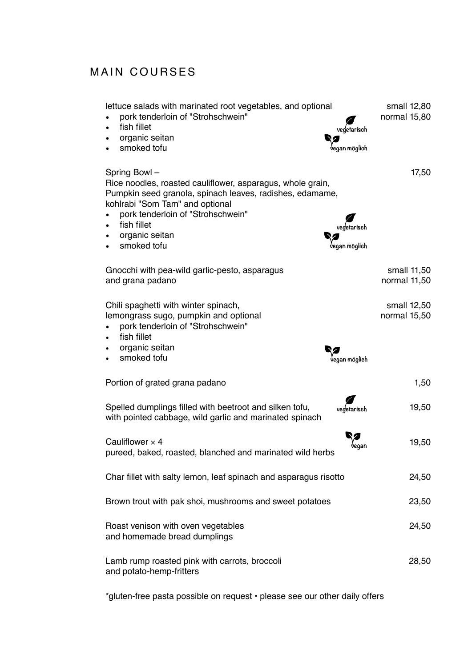## MAIN COURSES

| lettuce salads with marinated root vegetables, and optional<br>pork tenderloin of "Strohschwein"<br>fish fillet<br>vegetarisch<br>organic seitan<br>smoked tofu<br>regan möglich                                                                                               | small 12,80<br>normal 15,80 |
|--------------------------------------------------------------------------------------------------------------------------------------------------------------------------------------------------------------------------------------------------------------------------------|-----------------------------|
| Spring Bowl -<br>Rice noodles, roasted cauliflower, asparagus, whole grain,<br>Pumpkin seed granola, spinach leaves, radishes, edamame,<br>kohlrabi "Som Tam" and optional<br>pork tenderloin of "Strohschwein"<br>fish fillet<br>organic seitan<br>smoked tofu<br>aan möalich | 17,50                       |
| Gnocchi with pea-wild garlic-pesto, asparagus<br>and grana padano                                                                                                                                                                                                              | small 11,50<br>normal 11,50 |
| Chili spaghetti with winter spinach,<br>lemongrass sugo, pumpkin and optional<br>pork tenderloin of "Strohschwein"<br>fish fillet<br>organic seitan<br>smoked tofu<br>aan möglich:                                                                                             | small 12,50<br>normal 15,50 |
|                                                                                                                                                                                                                                                                                |                             |
| Portion of grated grana padano                                                                                                                                                                                                                                                 | 1,50                        |
| Spelled dumplings filled with beetroot and silken tofu,<br>vegetarisch<br>with pointed cabbage, wild garlic and marinated spinach                                                                                                                                              | 19,50                       |
| Cauliflower $\times$ 4<br>pureed, baked, roasted, blanched and marinated wild herbs                                                                                                                                                                                            | 19,50                       |
| Char fillet with salty lemon, leaf spinach and asparagus risotto                                                                                                                                                                                                               | 24,50                       |
| Brown trout with pak shoi, mushrooms and sweet potatoes                                                                                                                                                                                                                        | 23,50                       |
| Roast venison with oven vegetables<br>and homemade bread dumplings                                                                                                                                                                                                             | 24,50                       |
| Lamb rump roasted pink with carrots, broccoli<br>and potato-hemp-fritters                                                                                                                                                                                                      | 28,50                       |

\*gluten-free pasta possible on request • please see our other daily offers